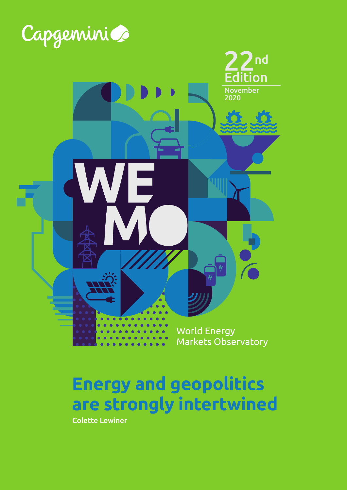

# **Energy and geopolitics are strongly intertwined**

Colette Lewiner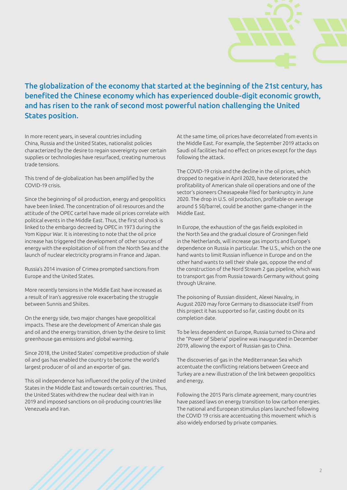

### The globalization of the economy that started at the beginning of the 21st century, has benefited the Chinese economy which has experienced double-digit economic growth, and has risen to the rank of second most powerful nation challenging the United States position.

In more recent years, in several countries including China, Russia and the United States, nationalist policies characterized by the desire to regain sovereignty over certain supplies or technologies have resurfaced, creating numerous trade tensions.

This trend of de-globalization has been amplified by the COVID-19 crisis.

Since the beginning of oil production, energy and geopolitics have been linked. The concentration of oil resources and the attitude of the OPEC cartel have made oil prices correlate with political events in the Middle East. Thus, the first oil shock is linked to the embargo decreed by OPEC in 1973 during the Yom Kippur War. It is interesting to note that the oil price increase has triggered the development of other sources of energy with the exploitation of oil from the North Sea and the launch of nuclear electricity programs in France and Japan.

Russia's 2014 invasion of Crimea prompted sanctions from Europe and the United States.

More recently tensions in the Middle East have increased as a result of Iran's aggressive role exacerbating the struggle between Sunnis and Shiites.

On the energy side, two major changes have geopolitical impacts. These are the development of American shale gas and oil and the energy transition, driven by the desire to limit greenhouse gas emissions and global warming.

Since 2018, the United States' competitive production of shale oil and gas has enabled the country to become the world's largest producer of oil and an exporter of gas.

This oil independence has influenced the policy of the United States in the Middle East and towards certain countries. Thus, the United States withdrew the nuclear deal with Iran in 2019 and imposed sanctions on oil-producing countries like Venezuela and Iran.

At the same time, oil prices have decorrelated from events in the Middle East. For example, the September 2019 attacks on Saudi oil facilities had no effect on prices except for the days following the attack.

The COVID-19 crisis and the decline in the oil prices, which dropped to negative in April 2020, have deteriorated the profitability of American shale oil operations and one of the sector's pioneers Cheasapeake filed for bankruptcy in June 2020. The drop in U.S. oil production, profitable on average around \$ 50/barrel, could be another game-changer in the Middle East.

In Europe, the exhaustion of the gas fields exploited in the North Sea and the gradual closure of Groningen field in the Netherlands, will increase gas imports and Europe's dependence on Russia in particular. The U.S., which on the one hand wants to limit Russian influence in Europe and on the other hand wants to sell their shale gas, oppose the end of the construction of the Nord Stream 2 gas pipeline, which was to transport gas from Russia towards Germany without going through Ukraine.

The poisoning of Russian dissident, Alexei Navalny, in August 2020 may force Germany to disassociate itself from this project it has supported so far, casting doubt on its completion date.

To be less dependent on Europe, Russia turned to China and the "Power of Siberia" pipeline was inaugurated in December 2019, allowing the export of Russian gas to China.

The discoveries of gas in the Mediterranean Sea which accentuate the conflicting relations between Greece and Turkey are a new illustration of the link between geopolitics and energy.

Following the 2015 Paris climate agreement, many countries have passed laws on energy transition to low carbon energies. The national and European stimulus plans launched following the COVID 19 crisis are accentuating this movement which is also widely endorsed by private companies.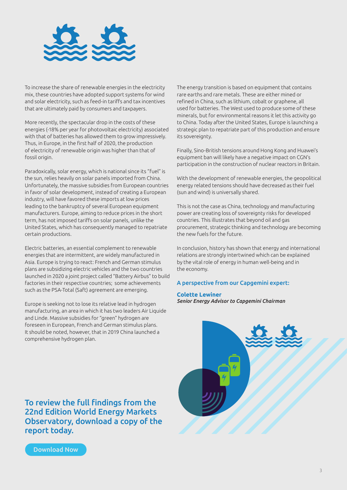

To increase the share of renewable energies in the electricity mix, these countries have adopted support systems for wind and solar electricity, such as feed-in tariffs and tax incentives that are ultimately paid by consumers and taxpayers.

More recently, the spectacular drop in the costs of these energies (-18% per year for photovoltaic electricity) associated with that of batteries has allowed them to grow impressively. Thus, in Europe, in the first half of 2020, the production of electricity of renewable origin was higher than that of fossil origin.

Paradoxically, solar energy, which is national since its "fuel" is the sun, relies heavily on solar panels imported from China. Unfortunately, the massive subsidies from European countries in favor of solar development, instead of creating a European industry, will have favored these imports at low prices leading to the bankruptcy of several European equipment manufacturers. Europe, aiming to reduce prices in the short term, has not imposed tariffs on solar panels, unlike the United States, which has consequently managed to repatriate certain productions.

Electric batteries, an essential complement to renewable energies that are intermittent, are widely manufactured in Asia. Europe is trying to react: French and German stimulus plans are subsidizing electric vehicles and the two countries launched in 2020 a joint project called "Battery Airbus" to build factories in their respective countries; some achievements such as the PSA-Total (Saft) agreement are emerging.

Europe is seeking not to lose its relative lead in hydrogen manufacturing, an area in which it has two leaders Air Liquide and Linde. Massive subsidies for "green" hydrogen are foreseen in European, French and German stimulus plans. It should be noted, however, that in 2019 China launched a comprehensive hydrogen plan.

The energy transition is based on equipment that contains rare earths and rare metals. These are either mined or refined in China, such as lithium, cobalt or graphene, all used for batteries. The West used to produce some of these minerals, but for environmental reasons it let this activity go to China. Today after the United States, Europe is launching a strategic plan to repatriate part of this production and ensure its sovereignty.

Finally, Sino-British tensions around Hong Kong and Huawei's equipment ban will likely have a negative impact on CGN's participation in the construction of nuclear reactors in Britain.

With the development of renewable energies, the geopolitical energy related tensions should have decreased as their fuel (sun and wind) is universally shared.

This is not the case as China, technology and manufacturing power are creating loss of sovereignty risks for developed countries. This illustrates that beyond oil and gas procurement, strategic thinking and technology are becoming the new fuels for the future.

In conclusion, history has shown that energy and international relations are strongly intertwined which can be explained by the vital role of energy in human well-being and in the economy.

#### A perspective from our Capgemini expert:

#### **Colette Lewiner** *Senior Energy Advisor to Capgemini Chairman*



[To review the full findings from the](http://www.capgemini.com/)  [22nd Edition World Energy Markets](http://www.capgemini.com/)  [Observatory, download a copy of the](http://www.capgemini.com/)  [report today.](http://www.capgemini.com/)

[Download Now](http://www.capgemini.com/wemo)